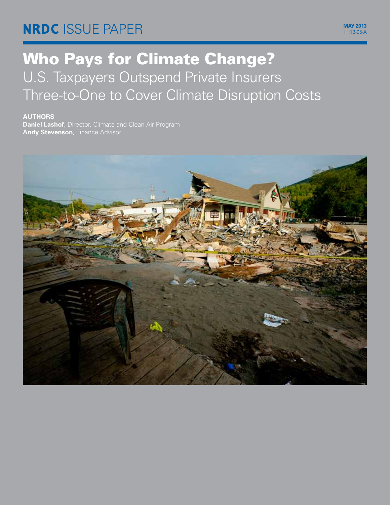# **NRDC** Issue paper **may 2013**

ip:13-05-a

# Who Pays for Climate Change? U.S. Taxpayers Outspend Private Insurers Three-to-One to Cover Climate Disruption Costs

**authors**

**Daniel Lashof**, Director, Climate and Clean Air Program **Andy Stevenson**, Finance Advisor

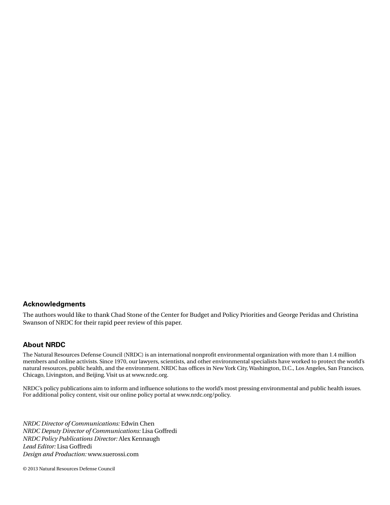## **Acknowledgments**

The authors would like to thank Chad Stone of the Center for Budget and Policy Priorities and George Peridas and Christina Swanson of NRDC for their rapid peer review of this paper.

### **About NRDC**

The Natural Resources Defense Council (NRDC) is an international nonprofit environmental organization with more than 1.4 million members and online activists. Since 1970, our lawyers, scientists, and other environmental specialists have worked to protect the world's natural resources, public health, and the environment. NRDC has offices in New York City, Washington, D.C., Los Angeles, San Francisco, Chicago, Livingston, and Beijing. Visit us at www.nrdc.org.

NRDC's policy publications aim to inform and influence solutions to the world's most pressing environmental and public health issues. For additional policy content, visit our online policy portal at www.nrdc.org/policy.

*NRDC Director of Communications:* Edwin Chen *NRDC Deputy Director of Communications:* Lisa Goffredi *NRDC Policy Publications Director:* Alex Kennaugh *Lead Editor:* Lisa Goffredi *Design and Production:* www.suerossi.com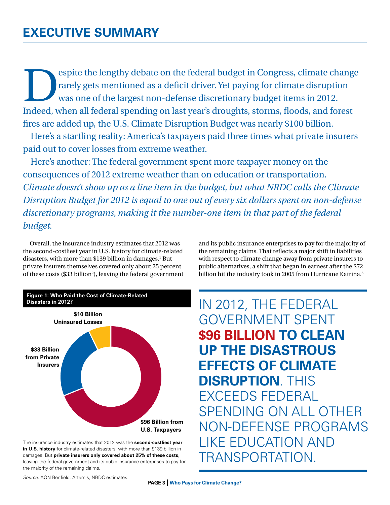# **executive summary**

espite the lengthy debate on the federal budget in Congress, climate change rarely gets mentioned as a deficit driver. Yet paying for climate disruption was one of the largest non-defense discretionary budget items in 2012. Indeed, when all federal spending on last year's droughts, storms, floods, and forest fires are added up, the U.S. Climate Disruption Budget was nearly \$100 billion.

Here's a startling reality: America's taxpayers paid three times what private insurers paid out to cover losses from extreme weather.

Here's another: The federal government spent more taxpayer money on the consequences of 2012 extreme weather than on education or transportation. *Climate doesn't show up as a line item in the budget, but what NRDC calls the Climate Disruption Budget for 2012 is equal to one out of every six dollars spent on non-defense discretionary programs, making it the number-one item in that part of the federal budget.*

Overall, the insurance industry estimates that 2012 was the second-costliest year in U.S. history for climate-related disasters, with more than \$139 billion in damages.<sup>1</sup> But private insurers themselves covered only about 25 percent of these costs (\$33 billion<sup>2</sup>), leaving the federal government



The insurance industry estimates that 2012 was the **second-costliest year**  in U.S. history for climate-related disasters, with more than \$139 billion in damages. But **private insurers only covered about 25% of these costs**, leaving the federal government and its pubic insurance enterprises to pay for the majority of the remaining claims.

and its public insurance enterprises to pay for the majority of the remaining claims. That reflects a major shift in liabilities with respect to climate change away from private insurers to public alternatives, a shift that began in earnest after the \$72 billion hit the industry took in 2005 from Hurricane Katrina.<sup>3</sup>

In 2012, the federal government spent **\$96 billion to clean up the disastrous effects of climate disruption**. This exceeds federal spending on all other non-defense programs like education and transportation.

*Source:* AON Benfield, Artemis, NRDC estimates.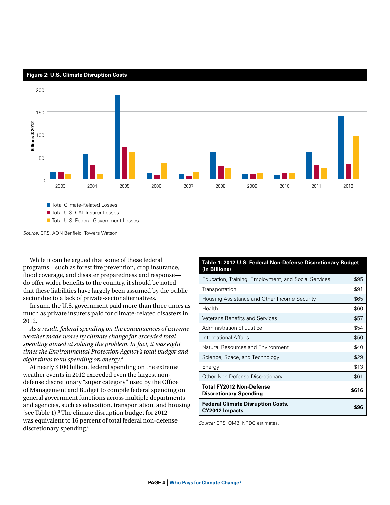**Figure 2: U.S. Climate Disruption Costs**



■ Total Climate-Related Losses

■ Total U.S. CAT Insurer Losses

■ Total U.S. Federal Government Losses

*Source:* CRS, AON Benfield, Towers Watson.

While it can be argued that some of these federal programs—such as forest fire prevention, crop insurance, flood coverage, and disaster preparedness and response do offer wider benefits to the country, it should be noted that these liabilities have largely been assumed by the public sector due to a lack of private-sector alternatives.

In sum, the U.S. government paid more than three times as much as private insurers paid for climate-related disasters in 2012.

*As a result, federal spending on the consequences of extreme weather made worse by climate change far exceeded total spending aimed at solving the problem. In fact, it was eight times the Environmental Protection Agency's total budget and eight times total spending on energy*. 4

At nearly \$100 billion, federal spending on the extreme weather events in 2012 exceeded even the largest nondefense discretionary "super category" used by the Office of Management and Budget to compile federal spending on general government functions across multiple departments and agencies, such as education, transportation, and housing (see Table 1).5 The climate disruption budget for 2012 was equivalent to 16 percent of total federal non-defense discretionary spending.<sup>6</sup>

#### **Table 1: 2012 U.S. Federal Non-Defense Discretionary Budget (in Billions)**

| Education, Training, Employment, and Social Services             | \$95  |
|------------------------------------------------------------------|-------|
| Transportation                                                   | \$91  |
| Housing Assistance and Other Income Security                     | \$65  |
| Health                                                           | \$60  |
| <b>Veterans Benefits and Services</b>                            | \$57  |
| Administration of Justice                                        | \$54  |
| International Affairs                                            | \$50  |
| Natural Resources and Environment                                | \$40  |
| Science, Space, and Technology                                   | \$29  |
| Energy                                                           | \$13  |
| Other Non-Defense Discretionary                                  | \$61  |
| <b>Total FY2012 Non-Defense</b><br><b>Discretionary Spending</b> | \$616 |
| <b>Federal Climate Disruption Costs,</b><br>CY2012 Impacts       | S96   |

*Source:* CRS, OMB, NRDC estimates.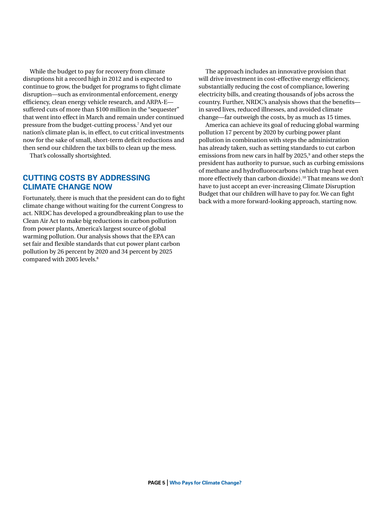While the budget to pay for recovery from climate disruptions hit a record high in 2012 and is expected to continue to grow, the budget for programs to fight climate disruption—such as environmental enforcement, energy efficiency, clean energy vehicle research, and ARPA-E suffered cuts of more than \$100 million in the "sequester" that went into effect in March and remain under continued pressure from the budget-cutting process.7 And yet our nation's climate plan is, in effect, to cut critical investments now for the sake of small, short-term deficit reductions and then send our children the tax bills to clean up the mess.

That's colossally shortsighted.

# **Cutting Costs By Addressing Climate Change Now**

Fortunately, there is much that the president can do to fight climate change without waiting for the current Congress to act. NRDC has developed a [groundbreaking plan](http://www.nrdc.org/air/pollution-standards/) to use the Clean Air Act to make big reductions in carbon pollution from power plants, America's largest source of global warming pollution. Our analysis shows that the EPA can set fair and flexible standards that cut power plant carbon pollution by 26 percent by 2020 and 34 percent by 2025 compared with 2005 levels.<sup>8</sup>

The approach includes an innovative provision that will drive investment in cost-effective energy efficiency, substantially reducing the cost of compliance, lowering electricity bills, and creating thousands of jobs across the country. Further, NRDC's analysis shows that the benefits in saved lives, reduced illnesses, and avoided climate change—far outweigh the costs, by as much as 15 times.

America can achieve its goal of reducing global warming pollution 17 percent by 2020 by curbing power plant pollution in combination with steps the administration has already taken, such as setting [standards to cut carbon](http://www.epa.gov/otaq/tier3.htm)  [emissions from new cars](http://www.epa.gov/otaq/tier3.htm) in half by 2025,<sup>9</sup> and other steps the president has authority to pursue, such as curbing emissions of methane and hydrofluorocarbons (which trap heat even more effectively than carbon dioxide).<sup>10</sup> That means we don't have to just accept an ever-increasing Climate Disruption Budget that our children will have to pay for. We can fight back with a more forward-looking approach, starting now.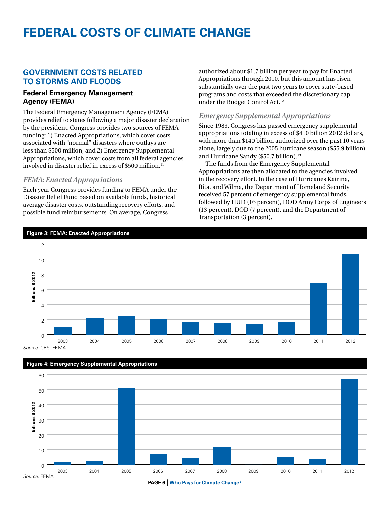# **Federal Costs of Climate Change**

# **Government Costs Related to Storms and Floods**

# **Federal Emergency Management Agency (FEMA)**

The Federal Emergency Management Agency (FEMA) provides relief to states following a major disaster declaration by the president. Congress provides two sources of FEMA funding: 1) Enacted Appropriations, which cover costs associated with "normal" disasters where outlays are less than \$500 million, and 2) Emergency Supplemental Appropriations, which cover costs from all federal agencies involved in disaster relief in excess of \$500 million.<sup>11</sup>

# *FEMA: Enacted Appropriations*

**Figure 3: FEMA: Enacted Appropriations** 

Each year Congress provides funding to FEMA under the Disaster Relief Fund based on available funds, historical average disaster costs, outstanding recovery efforts, and possible fund reimbursements. On average, Congress

authorized about \$1.7 billion per year to pay for Enacted Appropriations through 2010, but this amount has risen substantially over the past two years to cover state-based programs and costs that exceeded the discretionary cap under the Budget Control Act.12

# *Emergency Supplemental Appropriations*

Since 1989, Congress has passed emergency supplemental appropriations totaling in excess of \$410 billion 2012 dollars, with more than \$140 billion authorized over the past 10 years alone, largely due to the 2005 hurricane season (\$55.9 billion) and Hurricane Sandy (\$50.7 billion).<sup>13</sup>

The funds from the Emergency Supplemental Appropriations are then allocated to the agencies involved in the recovery effort. In the case of Hurricanes Katrina, Rita, and Wilma, the Department of Homeland Security received 57 percent of emergency supplemental funds, followed by HUD (16 percent), DOD Army Corps of Engineers (13 percent), DOD (7 percent), and the Department of Transportation (3 percent).



*Source:* CRS, FEMA.





**PAGE 6** | **Who Pays for Climate Change?**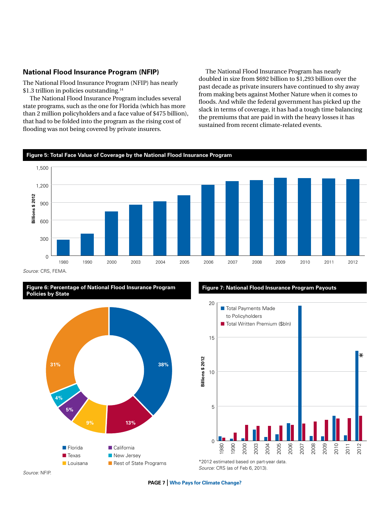# **National Flood Insurance Program (NFIP)**

The National Flood Insurance Program (NFIP) has nearly [\\$1.3 trillion](http://www.fas.org/sgp/crs/misc/R42850.pdf) in policies outstanding.<sup>14</sup>

The National Flood Insurance Program includes several state programs, such as the one for [Florida](http://www.rff.org/RFF/Documents/RFF-IB-12-08.pdf) (which has more than 2 million policyholders and a face value of \$475 billion), that had to be folded into the program as the rising cost of flooding was not being covered by private insurers.

The National Flood Insurance Program has nearly doubled in size from \$692 billion to \$1,293 billion over the past decade as private insurers have continued to shy away from making bets against Mother Nature when it comes to floods. And while the federal government has picked up the slack in terms of coverage, it has had a tough time balancing the premiums that are paid in with the heavy losses it has sustained from recent climate-related events.



*Source:* CRS, FEMA.

#### **Figure 6: Percentage of National Flood Insurance Program Policies by State**



### **Figure 7: National Flood Insurance Program Payouts**



*Source:* CRS (as of Feb 6, 2013).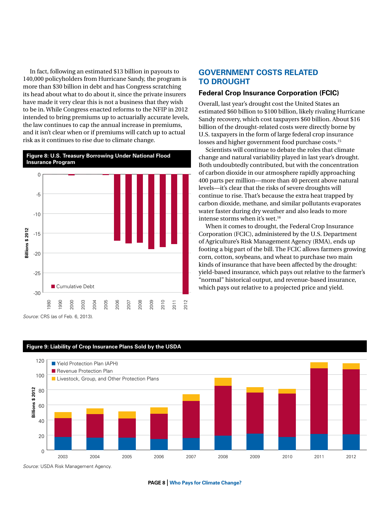In fact, following an estimated \$13 billion in payouts to 140,000 policyholders from Hurricane Sandy, the program is more than \$30 billion in debt and has Congress scratching its head about what to do about it, since the private insurers have made it very clear this is not a business that they wish to be in. While Congress enacted reforms to the NFIP in 2012 intended to bring premiums up to actuarially accurate levels, the law continues to cap the annual increase in premiums, and it isn't clear when or if premiums will catch up to actual risk as it continues to rise due to climate change.



*Source:* CRS (as of Feb. 6, 2013).

# **GOVERNMENT Costs Related to Drought**

### **Federal Crop Insurance Corporation (FCIC)**

Overall, last year's drought cost the United States an estimated \$60 billion to \$100 billion, likely rivaling Hurricane Sandy recovery, which cost taxpayers \$60 billion. About \$16 billion of the drought-related costs were directly borne by U.S. taxpayers in the form of large federal crop insurance losses and higher government food purchase costs.<sup>15</sup>

Scientists will [continue to debate](http://www.climatesciencewatch.org/2013/04/12/drought-study-misses-underlying-climate-connections/) the roles that climate change and natural variability played in last year's drought. Both undoubtedly contributed, but with the concentration of carbon dioxide in our atmosphere [rapidly approaching](http://switchboard.nrdc.org/blogs/dlashof/the_bottom_line_on_climate_is.html)  400 parts per million—more than 40 percent above natural levels—it's clear that the risks of severe droughts will continue to rise. That's because the extra heat trapped by carbon dioxide, methane, and similar pollutants evaporates water faster during dry weather and also leads to more intense storms when it's wet.16

When it comes to drought, the Federal Crop Insurance Corporation (FCIC), administered by the U.S. Department of Agriculture's Risk Management Agency (RMA), ends up footing a big part of the bill. The FCIC allows farmers growing corn, cotton, soybeans, and wheat to purchase two main kinds of insurance that have been affected by the drought: yield-based insurance, which pays out relative to the farmer's "normal" historical output, and revenue-based insurance, which pays out relative to a projected price and yield.



*Source:* USDA Risk Management Agency.

#### **PAGE 8** | **Who Pays for Climate Change?**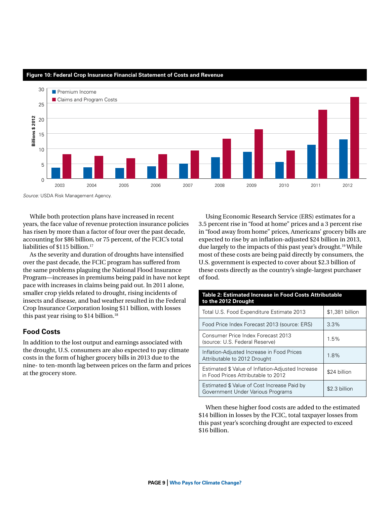

#### **Figure 10: Federal Crop Insurance Financial Statement of Costs and Revenue**

*Source:* USDA Risk Management Agency.

While both protection plans have increased in recent years, the face value of revenue protection insurance policies has risen by more than a factor of four over the past decade, accounting for \$86 billion, or 75 percent, of the FCIC's [total](http://www.usda.gov/oig/webdocs/05401-0002-11.pdf)  [liabilities](http://www.usda.gov/oig/webdocs/05401-0002-11.pdf) of \$115 billion.<sup>17</sup>

As the severity and duration of droughts have intensified over the past decade, the FCIC program has suffered from the same problems plaguing the National Flood Insurance Program—increases in premiums being paid in have not kept pace with increases in claims being paid out. In 2011 alone, smaller crop yields related to drought, rising incidents of insects and disease, and bad weather resulted in the Federal Crop Insurance Corporation losing \$11 billion, with losses this past year rising to \$14 billion.<sup>18</sup>

# **Food Costs**

In addition to the lost output and earnings associated with the drought, U.S. consumers are also expected to pay climate costs in the form of higher grocery bills in 2013 due to the nine- to ten-month lag between prices on the farm and prices at the grocery store.

Using Economic Research Service (ERS) estimates for a 3.5 percent rise in "food at home" prices and a 3 percent rise in "food away from home" prices, Americans' grocery bills are expected to rise by an inflation-adjusted \$24 billion in 2013, due largely to the impacts of this past year's drought.19 While most of these costs are being paid directly by consumers, the U.S. government is expected to cover about \$2.3 billion of these costs directly as the country's single-largest purchaser of food.

| Table 2: Estimated Increase in Food Costs Attributable<br>to the 2012 Drought            |                 |  |
|------------------------------------------------------------------------------------------|-----------------|--|
| Total U.S. Food Expenditure Estimate 2013                                                | \$1,381 billion |  |
| Food Price Index Forecast 2013 (source: ERS)                                             | 3.3%            |  |
| Consumer Price Index Forecast 2013<br>(source: U.S. Federal Reserve)                     | 1.5%            |  |
| Inflation-Adjusted Increase in Food Prices<br>Attributable to 2012 Drought               | 1.8%            |  |
| Estimated \$ Value of Inflation-Adjusted Increase<br>in Food Prices Attributable to 2012 | \$24 billion    |  |
| Estimated \$ Value of Cost Increase Paid by<br>Government Under Various Programs         | \$2.3 billion   |  |

When these higher food costs are added to the estimated \$14 billion in losses by the FCIC, total taxpayer losses from this past year's scorching drought are expected to exceed \$16 billion.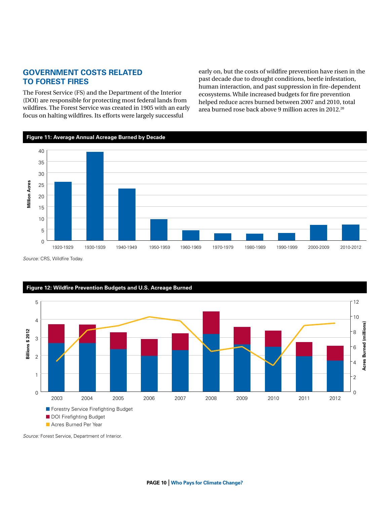# **Government Costs Related to Forest Fires**

The Forest Service (FS) and the Department of the Interior (DOI) are responsible for protecting most federal lands from wildfires. The Forest Service was created in 1905 with an early focus on halting wildfires. Its efforts were largely successful

early on, but the costs of wildfire prevention have risen in the past decade due to drought conditions, beetle infestation, human interaction, and past suppression in fire-dependent ecosystems. While increased budgets for fire prevention helped reduce acres burned between 2007 and 2010, total area burned rose back above 9 million acres in 2012.20



*Source:* CRS, Wildfire Today.



*Source:* Forest Service, Department of Interior.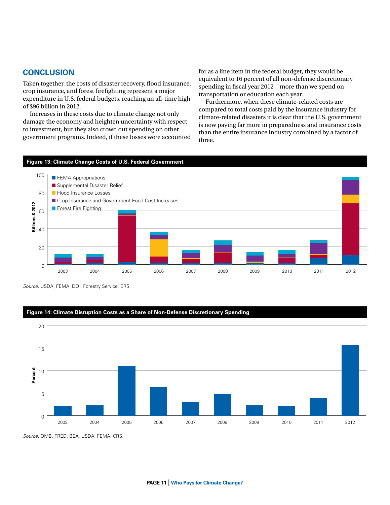# **Conclusion**

Taken together, the costs of disaster recovery, flood insurance, crop insurance, and forest firefighting represent a major expenditure in U.S. federal budgets, reaching an all-time high of \$96 billion in 2012.

Increases in these costs due to climate change not only damage the economy and heighten uncertainty with respect to investment, but they also crowd out spending on other government programs. Indeed, if these losses were accounted

for as a line item in the federal budget, they would be equivalent to 16 percent of all non-defense discretionary spending in fiscal year 2012—more than we spend on transportation or education each year.

Furthermore, when these climate-related costs are compared to total costs paid by the insurance industry for climate-related disasters it is clear that the U.S. government is now paying far more in preparedness and insurance costs than the entire insurance industry combined by a factor of three.

### **Figure 13: Climate Change Costs of U.S. Federal Government**



*Source:* USDA, FEMA, DOI, Forestry Service, ERS.

### **Figure 14: Climate Disruption Costs as a Share of Non-Defense Discretionary Spending**



*Source:* OMB, FRED, BEA, USDA, FEMA, CRS.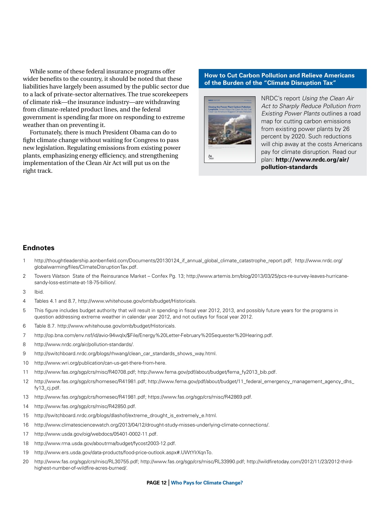While some of these federal insurance programs offer wider benefits to the country, it should be noted that these liabilities have largely been assumed by the public sector due to a lack of private-sector alternatives. The true scorekeepers of climate risk—the insurance industry—are withdrawing from climate-related product lines, and the federal government is spending far more on responding to extreme weather than on preventing it.

Fortunately, there is much President Obama can do to fight climate change without waiting for Congress to pass new legislation. Regulating emissions from existing power plants, emphasizing energy efficiency, and strengthening implementation of the Clean Air Act will put us on the right track.

### **How to Cut Carbon Pollution and Relieve Americans of the Burden of the "Climate Disruption Tax"**



NRDC's report *Using the Clean Air Act to Sharply Reduce Pollution from Existing Power Plants* outlines a road map for cutting carbon emissions from existing power plants by 26 percent by 2020. Such reductions will chip away at the costs Americans pay for climate disruption. Read our plan: **http://www.nrdc.org/air/ pollution-standards**

## **Endnotes**

- 1 http://thoughtleadership.aonbenfield.com/Documents/20130124\_if\_annual\_global\_climate\_catastrophe\_report.pdf; http://www.nrdc.org/ globalwarming/files/ClimateDisruptionTax.pdf.
- 2 Towers Watson State of the Reinsurance Market Confex Pg. 13; http://www.artemis.bm/blog/2013/03/25/pcs-re-survey-leaves-hurricanesandy-loss-estimate-at-18-75-billion/.

3 Ibid.

- 4 Tables 4.1 and 8.7, http://www.whitehouse.gov/omb/budget/Historicals.
- 5 This figure includes budget authority that will result in spending in fiscal year 2012, 2013, and possibly future years for the programs in question addressing extreme weather in calendar year 2012, and not outlays for fiscal year 2012.
- 6 Table 8.7. http://www.whitehouse.gov/omb/budget/Historicals.
- 7 http://op.bna.com/env.nsf/id/avio-94wqlx/\$File/Energy%20Letter-February%20Sequester%20Hearing.pdf.
- 8 http://www.nrdc.org/air/pollution-standards/.
- 9 http://switchboard.nrdc.org/blogs/rhwang/clean\_car\_standards\_shows\_way.html.
- 10 http://www.wri.org/publication/can-us-get-there-from-here.
- 11 http://www.fas.org/sgp/crs/misc/R40708.pdf; http://www.fema.gov/pdf/about/budget/fema\_fy2013\_bib.pdf.
- 12 http://www.fas.org/sgp/crs/homesec/R41981.pdf; http://www.fema.gov/pdf/about/budget/11\_federal\_emergency\_management\_agency\_dhs\_ fy13\_cj.pdf.
- 13 http://www.fas.org/sgp/crs/homesec/R41981.pdf; https://www.fas.org/sgp/crs/misc/R42869.pdf.
- 14 http://www.fas.org/sgp/crs/misc/R42850.pdf.
- 15 http://switchboard.nrdc.org/blogs/dlashof/extreme\_drought\_is\_extremely\_e.html.
- 16 http://www.climatesciencewatch.org/2013/04/12/drought-study-misses-underlying-climate-connections/.
- 17 http://www.usda.gov/oig/webdocs/05401-0002-11.pdf.
- 18 http://www.rma.usda.gov/aboutrma/budget/fycost2003-12.pdf.
- 19 http://www.ers.usda.gov/data-products/food-price-outlook.aspx#.UWtYlrXqnTo.
- 20 http://www.fas.org/sgp/crs/misc/RL30755.pdf; http://www.fas.org/sgp/crs/misc/RL33990.pdf; http://wildfiretoday.com/2012/11/23/2012-thirdhighest-number-of-wildfire-acres-burned/.

#### **PAGE 12** | **Who Pays for Climate Change?**